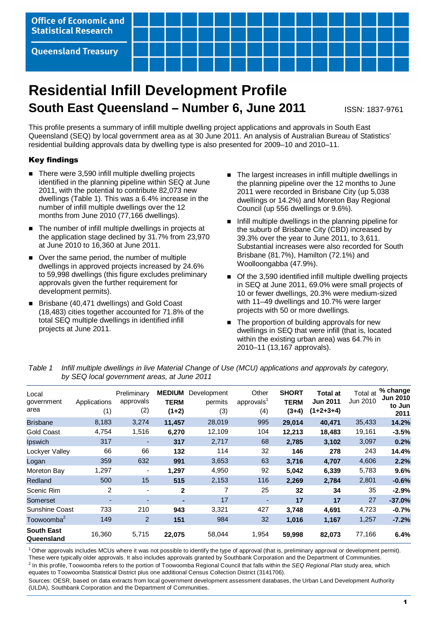

# **Residential Infill Development Profile South East Queensland – Number 6, June 2011 ISSN: 1837-9761**

This profile presents a summary of infill multiple dwelling project applications and approvals in South East Queensland (SEQ) by local government area as at 30 June 2011. An analysis of Australian Bureau of Statistics' residential building approvals data by dwelling type is also presented for 2009–10 and 2010–11.

# Key findings

- There were 3,590 infill multiple dwelling projects identified in the planning pipeline within SEQ at June 2011, with the potential to contribute 82,073 new dwellings (Table 1). This was a 6.4% increase in the number of infill multiple dwellings over the 12 months from June 2010 (77,166 dwellings).
- The number of infill multiple dwellings in projects at the application stage declined by 31.7% from 23,970 at June 2010 to 16,360 at June 2011.
- Over the same period, the number of multiple dwellings in approved projects increased by 24.6% to 59,998 dwellings (this figure excludes preliminary approvals given the further requirement for development permits).
- Brisbane (40,471 dwellings) and Gold Coast (18,483) cities together accounted for 71.8% of the total SEQ multiple dwellings in identified infill projects at June 2011.
- The largest increases in infill multiple dwellings in the planning pipeline over the 12 months to June 2011 were recorded in Brisbane City (up 5,038 dwellings or 14.2%) and Moreton Bay Regional Council (up 556 dwellings or 9.6%).
- Infill multiple dwellings in the planning pipeline for the suburb of Brisbane City (CBD) increased by 39.3% over the year to June 2011, to 3,611. Substantial increases were also recorded for South Brisbane (81.7%), Hamilton (72.1%) and Woolloongabba (47.9%).
- Of the 3,590 identified infill multiple dwelling projects in SEQ at June 2011, 69.0% were small projects of 10 or fewer dwellings, 20.3% were medium-sized with 11–49 dwellings and 10.7% were larger projects with 50 or more dwellings.
- The proportion of building approvals for new dwellings in SEQ that were infill (that is, located within the existing urban area) was 64.7% in 2010–11 (13,167 approvals).

Table 1 Infill multiple dwellings in live Material Change of Use (MCU) applications and approvals by category, by SEQ local government areas, at June 2011

| Local<br>government<br>area     | Applications<br>(1) | Preliminary<br>approvals<br>(2) | <b>MEDIUM</b><br><b>TERM</b><br>$(1+2)$ | Development<br>permits<br>(3) | Other<br>approvals <sup>1</sup><br>(4) | <b>SHORT</b><br><b>TERM</b><br>$(3+4)$ | <b>Total at</b><br><b>Jun 2011</b><br>$(1+2+3+4)$ | Total at<br>Jun 2010 | % change<br><b>Jun 2010</b><br>to Jun<br>2011 |
|---------------------------------|---------------------|---------------------------------|-----------------------------------------|-------------------------------|----------------------------------------|----------------------------------------|---------------------------------------------------|----------------------|-----------------------------------------------|
| <b>Brisbane</b>                 | 8,183               | 3,274                           | 11,457                                  | 28,019                        | 995                                    | 29,014                                 | 40,471                                            | 35,433               | 14.2%                                         |
| <b>Gold Coast</b>               | 4,754               | 1,516                           | 6,270                                   | 12,109                        | 104                                    | 12,213                                 | 18,483                                            | 19,161               | $-3.5%$                                       |
| <b>Ipswich</b>                  | 317                 |                                 | 317                                     | 2,717                         | 68                                     | 2,785                                  | 3,102                                             | 3,097                | 0.2%                                          |
| Lockyer Valley                  | 66                  | 66                              | 132                                     | 114                           | 32                                     | 146                                    | 278                                               | 243                  | 14.4%                                         |
| Logan                           | 359                 | 632                             | 991                                     | 3,653                         | 63                                     | 3,716                                  | 4,707                                             | 4,606                | 2.2%                                          |
| Moreton Bay                     | 1,297               | $\overline{\phantom{0}}$        | 1,297                                   | 4,950                         | 92                                     | 5,042                                  | 6,339                                             | 5,783                | 9.6%                                          |
| Redland                         | 500                 | 15                              | 515                                     | 2,153                         | 116                                    | 2,269                                  | 2,784                                             | 2,801                | $-0.6%$                                       |
| Scenic Rim                      | 2                   |                                 | $\mathbf{2}$                            | 7                             | 25                                     | 32                                     | 34                                                | 35                   | $-2.9%$                                       |
| Somerset                        | ٠                   |                                 | $\blacksquare$                          | 17                            | $\overline{\phantom{a}}$               | 17                                     | 17                                                | 27                   | $-37.0%$                                      |
| <b>Sunshine Coast</b>           | 733                 | 210                             | 943                                     | 3,321                         | 427                                    | 3,748                                  | 4,691                                             | 4,723                | $-0.7%$                                       |
| Toowoomba <sup>2</sup>          | 149                 | 2                               | 151                                     | 984                           | 32                                     | 1,016                                  | 1,167                                             | 1,257                | $-7.2%$                                       |
| <b>South East</b><br>Queensland | 16,360              | 5,715                           | 22,075                                  | 58,044                        | 1,954                                  | 59,998                                 | 82,073                                            | 77,166               | 6.4%                                          |

 $1$  Other approvals includes MCUs where it was not possible to identify the type of approval (that is, preliminary approval or development permit). These were typically older approvals. It also includes approvals granted by Southbank Corporation and the Department of Communities.

<sup>2</sup> In this profile, Toowoomba refers to the portion of Toowoomba Regional Council that falls within the SEQ Regional Plan study area, which equates to Toowoomba Statistical District plus one additional Census Collection District (3141706).

Sources: OESR, based on data extracts from local government development assessment databases, the Urban Land Development Authority (ULDA), Southbank Corporation and the Department of Communities.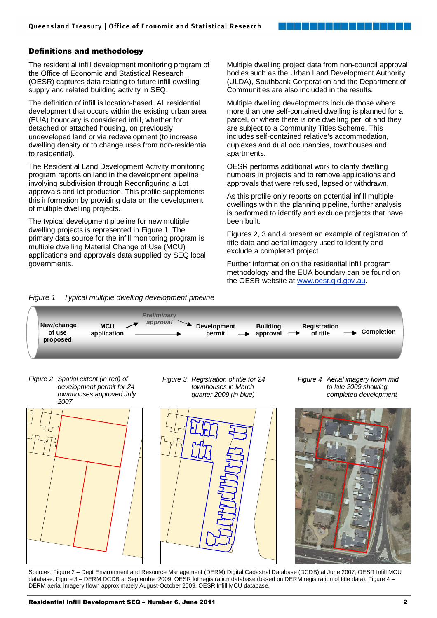# Definitions and methodology

The residential infill development monitoring program of the Office of Economic and Statistical Research (OESR) captures data relating to future infill dwelling supply and related building activity in SEQ.

The definition of infill is location-based. All residential development that occurs within the existing urban area (EUA) boundary is considered infill, whether for detached or attached housing, on previously undeveloped land or via redevelopment (to increase dwelling density or to change uses from non-residential to residential).

The Residential Land Development Activity monitoring program reports on land in the development pipeline involving subdivision through Reconfiguring a Lot approvals and lot production. This profile supplements this information by providing data on the development of multiple dwelling projects.

The typical development pipeline for new multiple dwelling projects is represented in Figure 1. The primary data source for the infill monitoring program is multiple dwelling Material Change of Use (MCU) applications and approvals data supplied by SEQ local governments.

Multiple dwelling project data from non-council approval bodies such as the Urban Land Development Authority (ULDA), Southbank Corporation and the Department of Communities are also included in the results.

Multiple dwelling developments include those where more than one self-contained dwelling is planned for a parcel, or where there is one dwelling per lot and they are subject to a Community Titles Scheme. This includes self-contained relative's accommodation, duplexes and dual occupancies, townhouses and apartments.

OESR performs additional work to clarify dwelling numbers in projects and to remove applications and approvals that were refused, lapsed or withdrawn.

As this profile only reports on potential infill multiple dwellings within the planning pipeline, further analysis is performed to identify and exclude projects that have been built.

Figures 2, 3 and 4 present an example of registration of title data and aerial imagery used to identify and exclude a completed project.

Further information on the residential infill program methodology and the EUA boundary can be found on the OESR website at www.oesr.qld.gov.au.





Figure 2 Spatial extent (in red) of development permit for 24 townhouses approved July 2007



Figure 3 Registration of title for 24 townhouses in March quarter 2009 (in blue)



Figure 4 Aerial imagery flown mid to late 2009 showing completed development



Sources: Figure 2 – Dept Environment and Resource Management (DERM) Digital Cadastral Database (DCDB) at June 2007; OESR Infill MCU database. Figure 3 – DERM DCDB at September 2009; OESR lot registration database (based on DERM registration of title data). Figure 4 – DERM aerial imagery flown approximately August-October 2009; OESR Infill MCU database.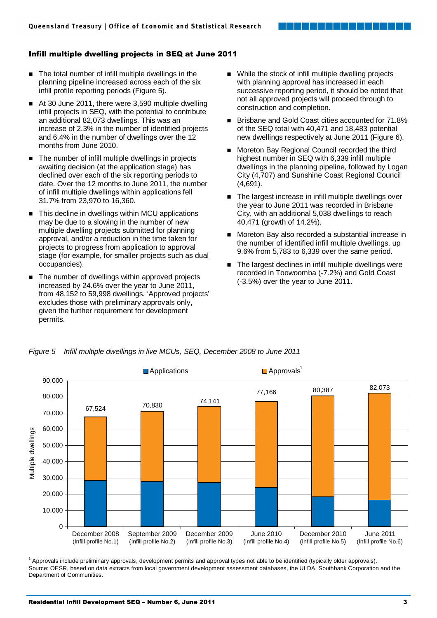# Infill multiple dwelling projects in SEQ at June 2011

- The total number of infill multiple dwellings in the planning pipeline increased across each of the six infill profile reporting periods (Figure 5).
- At 30 June 2011, there were 3,590 multiple dwelling infill projects in SEQ, with the potential to contribute an additional 82,073 dwellings. This was an increase of 2.3% in the number of identified projects and 6.4% in the number of dwellings over the 12 months from June 2010.
- The number of infill multiple dwellings in projects awaiting decision (at the application stage) has declined over each of the six reporting periods to date. Over the 12 months to June 2011, the number of infill multiple dwellings within applications fell 31.7% from 23,970 to 16,360.
- This decline in dwellings within MCU applications may be due to a slowing in the number of new multiple dwelling projects submitted for planning approval, and/or a reduction in the time taken for projects to progress from application to approval stage (for example, for smaller projects such as dual occupancies).
- The number of dwellings within approved projects increased by 24.6% over the year to June 2011, from 48,152 to 59,998 dwellings. 'Approved projects' excludes those with preliminary approvals only, given the further requirement for development permits.
- While the stock of infill multiple dwelling projects with planning approval has increased in each successive reporting period, it should be noted that not all approved projects will proceed through to construction and completion.
- Brisbane and Gold Coast cities accounted for 71.8% of the SEQ total with 40,471 and 18,483 potential new dwellings respectively at June 2011 (Figure 6).
- Moreton Bay Regional Council recorded the third highest number in SEQ with 6,339 infill multiple dwellings in the planning pipeline, followed by Logan City (4,707) and Sunshine Coast Regional Council (4,691).
- The largest increase in infill multiple dwellings over the year to June 2011 was recorded in Brisbane City, with an additional 5,038 dwellings to reach 40,471 (growth of 14.2%).
- Moreton Bay also recorded a substantial increase in the number of identified infill multiple dwellings, up 9.6% from 5,783 to 6,339 over the same period.
- The largest declines in infill multiple dwellings were recorded in Toowoomba (-7.2%) and Gold Coast (-3.5%) over the year to June 2011.



Figure 5 Infill multiple dwellings in live MCUs, SEQ, December 2008 to June 2011

<sup>1</sup> Approvals include preliminary approvals, development permits and approval types not able to be identified (typically older approvals). Source: OESR, based on data extracts from local government development assessment databases, the ULDA, Southbank Corporation and the Department of Communities.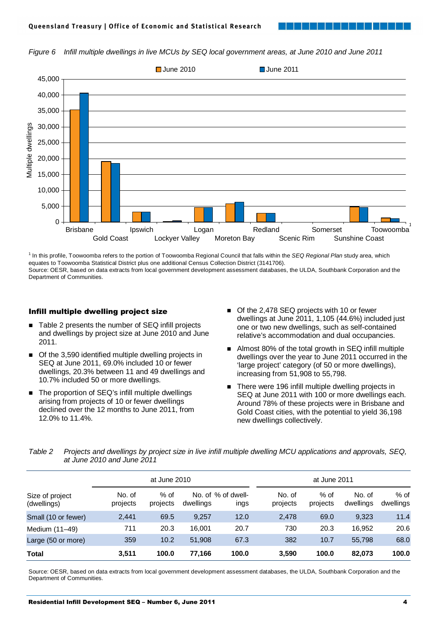



<sup>1</sup> In this profile, Toowoomba refers to the portion of Toowoomba Regional Council that falls within the SEQ Regional Plan study area, which equates to Toowoomba Statistical District plus one additional Census Collection District (3141706). Source: OESR, based on data extracts from local government development assessment databases, the ULDA, Southbank Corporation and the Department of Communities.

## Infill multiple dwelling project size

- Table 2 presents the number of SEQ infill projects and dwellings by project size at June 2010 and June 2011.
- Of the 3,590 identified multiple dwelling projects in SEQ at June 2011, 69.0% included 10 or fewer dwellings, 20.3% between 11 and 49 dwellings and 10.7% included 50 or more dwellings.
- The proportion of SEQ's infill multiple dwellings arising from projects of 10 or fewer dwellings declined over the 12 months to June 2011, from 12.0% to 11.4%.
- Of the 2,478 SEQ projects with 10 or fewer dwellings at June 2011, 1,105 (44.6%) included just one or two new dwellings, such as self-contained relative's accommodation and dual occupancies.
- Almost 80% of the total growth in SEQ infill multiple dwellings over the year to June 2011 occurred in the 'large project' category (of 50 or more dwellings), increasing from 51,908 to 55,798.
- There were 196 infill multiple dwelling projects in SEQ at June 2011 with 100 or more dwellings each. Around 78% of these projects were in Brisbane and Gold Coast cities, with the potential to yield 36,198 new dwellings collectively.

| Table 2 | Projects and dwellings by project size in live infill multiple dwelling MCU applications and approvals, SEQ, |
|---------|--------------------------------------------------------------------------------------------------------------|
|         | at June 2010 and June 2011                                                                                   |

|                                |                    | at June 2010       |           |                            |                    | at June 2011       |                     |                     |  |
|--------------------------------|--------------------|--------------------|-----------|----------------------------|--------------------|--------------------|---------------------|---------------------|--|
| Size of project<br>(dwellings) | No. of<br>projects | $%$ of<br>projects | dwellings | No. of % of dwell-<br>ings | No. of<br>projects | $%$ of<br>projects | No. of<br>dwellings | $%$ of<br>dwellings |  |
| Small (10 or fewer)            | 2,441              | 69.5               | 9,257     | 12.0                       | 2,478              | 69.0               | 9,323               | 11.4                |  |
| Medium (11-49)                 | 711                | 20.3               | 16.001    | 20.7                       | 730                | 20.3               | 16.952              | 20.6                |  |
| Large (50 or more)             | 359                | 10.2               | 51,908    | 67.3                       | 382                | 10.7               | 55.798              | 68.0                |  |
| <b>Total</b>                   | 3,511              | 100.0              | 77,166    | 100.0                      | 3,590              | 100.0              | 82,073              | 100.0               |  |

Source: OESR, based on data extracts from local government development assessment databases, the ULDA, Southbank Corporation and the Department of Communities.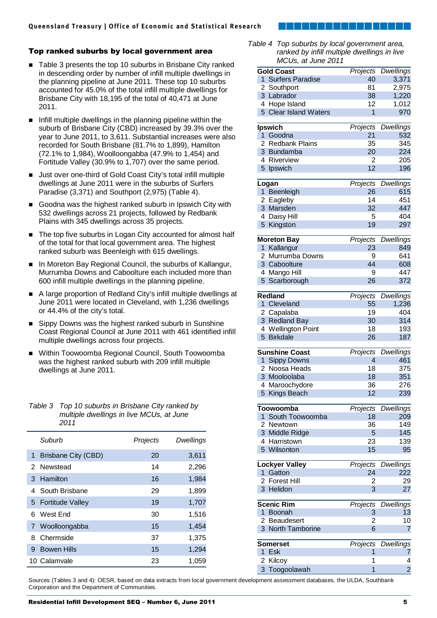# Top ranked suburbs by local government area

- Table 3 presents the top 10 suburbs in Brisbane City ranked in descending order by number of infill multiple dwellings in the planning pipeline at June 2011. These top 10 suburbs accounted for 45.0% of the total infill multiple dwellings for Brisbane City with 18,195 of the total of 40,471 at June 2011.
- $\blacksquare$  Infill multiple dwellings in the planning pipeline within the suburb of Brisbane City (CBD) increased by 39.3% over the year to June 2011, to 3,611. Substantial increases were also recorded for South Brisbane (81.7% to 1,899), Hamilton (72.1% to 1,984), Woolloongabba (47.9% to 1,454) and Fortitude Valley (30.9% to 1,707) over the same period.
- Just over one-third of Gold Coast City's total infill multiple dwellings at June 2011 were in the suburbs of Surfers Paradise (3,371) and Southport (2,975) (Table 4).
- Goodna was the highest ranked suburb in Ipswich City with 532 dwellings across 21 projects, followed by Redbank Plains with 345 dwellings across 35 projects.
- The top five suburbs in Logan City accounted for almost half of the total for that local government area. The highest ranked suburb was Beenleigh with 615 dwellings.
- In Moreton Bay Regional Council, the suburbs of Kallangur, Murrumba Downs and Caboolture each included more than 600 infill multiple dwellings in the planning pipeline.
- A large proportion of Redland City's infill multiple dwellings at June 2011 were located in Cleveland, with 1,236 dwellings or 44.4% of the city's total.
- Sippy Downs was the highest ranked suburb in Sunshine Coast Regional Council at June 2011 with 461 identified infill multiple dwellings across four projects.
- Within Toowoomba Regional Council, South Toowoomba was the highest ranked suburb with 209 infill multiple dwellings at June 2011.

| Table 3 Top 10 suburbs in Brisbane City ranked by |
|---------------------------------------------------|
| multiple dwellings in live MCUs, at June          |
| 2011                                              |

|   | Suburb                     | Projects | Dwellings |
|---|----------------------------|----------|-----------|
| 1 | <b>Brisbane City (CBD)</b> | 20       | 3,611     |
|   | 2 Newstead                 | 14       | 2,296     |
|   | 3 Hamilton                 | 16       | 1,984     |
|   | 4 South Brisbane           | 29       | 1,899     |
|   | 5 Fortitude Valley         | 19       | 1,707     |
| 6 | West End                   | 30       | 1,516     |
|   | 7 Woolloongabba            | 15       | 1,454     |
| 8 | Chermside                  | 37       | 1,375     |
| 9 | <b>Bowen Hills</b>         | 15       | 1,294     |
|   | 10 Calamvale               | 23       | 1,059     |



Table 4 Top suburbs by local government area, ranked by infill multiple dwellings in live  $MCI$  is at June 2011

|                | $10000,$ at $0010$ $2011$ |          |                  |
|----------------|---------------------------|----------|------------------|
|                | Gold Coast                | Projects | <b>Dwellings</b> |
|                | 1 Surfers Paradise        | 40       | 3,371            |
|                | 2 Southport               | 81       | 2,975            |
|                | 3 Labrador                | 38       | 1,220            |
|                | 4 Hope Island             | 12       | 1,012            |
|                |                           |          |                  |
|                | 5 Clear Island Waters     | 1        | 970              |
|                | <b>Ipswich</b>            | Projects | <b>Dwellings</b> |
|                |                           | 21       |                  |
|                | 1 Goodna                  |          | 532              |
|                | 2 Redbank Plains          | 35       | 345              |
|                | 3 Bundamba                | 20       | 224              |
|                | 4 Riverview               | 2        | 205              |
|                | 5 Ipswich                 | 12       | 196              |
|                |                           |          |                  |
|                | Logan                     | Projects | <b>Dwellings</b> |
|                | 1 Beenleigh               | 26       | 615              |
|                | 2 Eagleby                 | 14       | 451              |
|                | 3 Marsden                 | 32       | 447              |
|                | 4 Daisy Hill              | 5        | 404              |
|                | 5 Kingston                | 19       | 297              |
|                |                           |          |                  |
|                | <b>Moreton Bay</b>        | Projects | <b>Dwellings</b> |
| 1              | Kallangur                 | 23       | 849              |
|                | 2 Murrumba Downs          | 9        | 641              |
|                |                           | 44       |                  |
|                | 3 Caboolture              |          | 608              |
|                | 4 Mango Hill              | 9        | 447              |
| 5 <sup>1</sup> | Scarborough               | 26       | 372              |
|                |                           |          |                  |
|                | Redland                   | Projects | <b>Dwellings</b> |
|                | 1 Cleveland               | 55       | 1,236            |
|                | 2 Capalaba                | 19       | 404              |
|                | 3 Redland Bay             | 30       | 314              |
|                | 4 Wellington Point        | 18       | 193              |
|                | 5 Birkdale                | 26       | 187              |
|                |                           |          |                  |
|                | <b>Sunshine Coast</b>     | Projects | <b>Dwellings</b> |
|                | 1 Sippy Downs             | 4        | 461              |
|                | 2 Noosa Heads             | 18       | 375              |
|                | 3 Mooloolaba              | 18       | 351              |
|                | 4 Maroochydore            | 36       | 276              |
|                |                           |          |                  |
|                | 5 Kings Beach             | 12       | 239              |
|                | Toowoomba                 | Projects | <b>Dwellings</b> |
|                | 1 South Toowoomba         |          |                  |
|                |                           | 18       | 209              |
|                | 2 Newtown                 | 36       | 149              |
|                | 3 Middle Ridge            | 5        | 145              |
|                | 4 Harristown              | 23       | 139              |
|                | 5 Wilsonton               | 15       | 95               |
|                |                           |          |                  |
|                | <b>Lockyer Valley</b>     | Projects | <b>Dwellings</b> |
|                | 1 Gatton                  | 24       | 222              |
|                | 2 Forest Hill             | 2        | 29               |
|                | 3 Helidon                 | 3        | 27               |
|                |                           |          |                  |
|                | Scenic Rim                | Projects | <b>Dwellings</b> |
| 1              | <b>Boonah</b>             | 3        | 13               |
| 2              | Beaudesert                | 2        | 10               |
|                | 3 North Tamborine         | 6        | 7                |
|                |                           |          |                  |
|                | Somerset                  | Projects | <b>Dwellings</b> |
| 1              | Esk                       | 1        | 7                |
| 2              | Kilcoy                    | 1        | 4                |
| 3              | Toogoolawah               | 1        | $\overline{2}$   |

Sources (Tables 3 and 4): OESR, based on data extracts from local government development assessment databases, the ULDA, Southbank Corporation and the Department of Communities.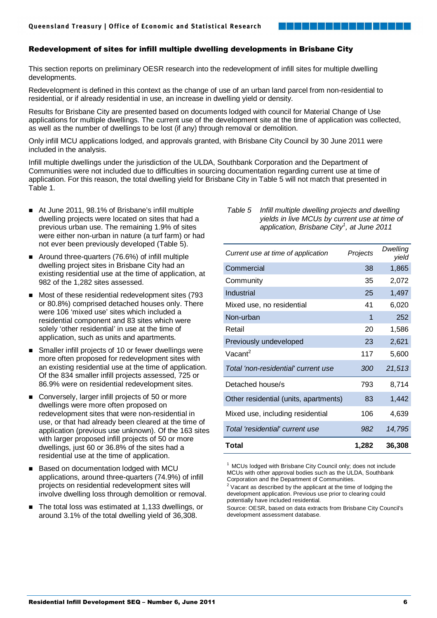# Redevelopment of sites for infill multiple dwelling developments in Brisbane City

This section reports on preliminary OESR research into the redevelopment of infill sites for multiple dwelling developments.

Redevelopment is defined in this context as the change of use of an urban land parcel from non-residential to residential, or if already residential in use, an increase in dwelling yield or density.

Results for Brisbane City are presented based on documents lodged with council for Material Change of Use applications for multiple dwellings. The current use of the development site at the time of application was collected, as well as the number of dwellings to be lost (if any) through removal or demolition.

Only infill MCU applications lodged, and approvals granted, with Brisbane City Council by 30 June 2011 were included in the analysis.

Infill multiple dwellings under the jurisdiction of the ULDA, Southbank Corporation and the Department of Communities were not included due to difficulties in sourcing documentation regarding current use at time of application. For this reason, the total dwelling yield for Brisbane City in Table 5 will not match that presented in Table 1.

- At June 2011, 98.1% of Brisbane's infill multiple dwelling projects were located on sites that had a previous urban use. The remaining 1.9% of sites were either non-urban in nature (a turf farm) or had not ever been previously developed (Table 5).
- Around three-quarters (76.6%) of infill multiple dwelling project sites in Brisbane City had an existing residential use at the time of application, at 982 of the 1,282 sites assessed.
- Most of these residential redevelopment sites (793 or 80.8%) comprised detached houses only. There were 106 'mixed use' sites which included a residential component and 83 sites which were solely 'other residential' in use at the time of application, such as units and apartments.
- Smaller infill projects of 10 or fewer dwellings were more often proposed for redevelopment sites with an existing residential use at the time of application. Of the 834 smaller infill projects assessed, 725 or 86.9% were on residential redevelopment sites.
- Conversely, larger infill projects of 50 or more dwellings were more often proposed on redevelopment sites that were non-residential in use, or that had already been cleared at the time of application (previous use unknown). Of the 163 sites with larger proposed infill projects of 50 or more dwellings, just 60 or 36.8% of the sites had a residential use at the time of application.
- Based on documentation lodged with MCU applications, around three-quarters (74.9%) of infill projects on residential redevelopment sites will involve dwelling loss through demolition or removal.
- The total loss was estimated at 1,133 dwellings, or around 3.1% of the total dwelling yield of 36,308.

### Table 5 Infill multiple dwelling projects and dwelling yields in live MCUs by current use at time of application, Brisbane City<sup>1</sup>, at June 2011

| Total                                 | 1,282    | 36,308            |
|---------------------------------------|----------|-------------------|
| Total 'residential' current use       | 982      | 14,795            |
| Mixed use, including residential      | 106      | 4,639             |
| Other residential (units, apartments) | 83       | 1,442             |
| Detached house/s                      | 793      | 8,714             |
| Total 'non-residential' current use   | 300      | 21,513            |
| Vacant <sup>2</sup>                   | 117      | 5,600             |
| Previously undeveloped                | 23       | 2,621             |
| Retail                                | 20       | 1,586             |
| Non-urban                             | 1        | 252               |
| Mixed use, no residential             | 41       | 6,020             |
| Industrial                            | 25       | 1,497             |
| Community                             | 35       | 2,072             |
| Commercial                            | 38       | 1,865             |
| Current use at time of application    | Projects | Dwelling<br>yield |

 $1$  MCUs lodged with Brisbane City Council only; does not include MCUs with other approval bodies such as the ULDA, Southbank Corporation and the Department of Communities.

 $2$  Vacant as described by the applicant at the time of lodging the development application. Previous use prior to clearing could potentially have included residential.

Source: OESR, based on data extracts from Brisbane City Council's development assessment database.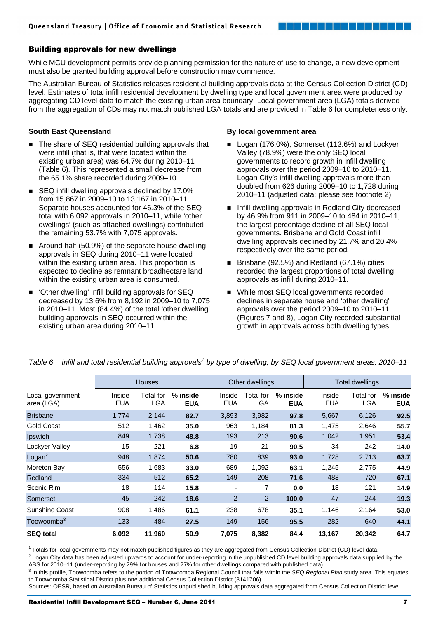# Building approvals for new dwellings

While MCU development permits provide planning permission for the nature of use to change, a new development must also be granted building approval before construction may commence.

The Australian Bureau of Statistics releases residential building approvals data at the Census Collection District (CD) level. Estimates of total infill residential development by dwelling type and local government area were produced by aggregating CD level data to match the existing urban area boundary. Local government area (LGA) totals derived from the aggregation of CDs may not match published LGA totals and are provided in Table 6 for completeness only.

# **South East Queensland**

- The share of SEQ residential building approvals that were infill (that is, that were located within the existing urban area) was 64.7% during 2010–11 (Table 6). This represented a small decrease from the 65.1% share recorded during 2009–10.
- SEQ infill dwelling approvals declined by 17.0% from 15,867 in 2009–10 to 13,167 in 2010–11. Separate houses accounted for 46.3% of the SEQ total with 6,092 approvals in 2010–11, while 'other dwellings' (such as attached dwellings) contributed the remaining 53.7% with 7,075 approvals.
- Around half (50.9%) of the separate house dwelling approvals in SEQ during 2010–11 were located within the existing urban area. This proportion is expected to decline as remnant broadhectare land within the existing urban area is consumed.
- 'Other dwelling' infill building approvals for SEQ decreased by 13.6% from 8,192 in 2009–10 to 7,075 in 2010–11. Most (84.4%) of the total 'other dwelling' building approvals in SEQ occurred within the existing urban area during 2010–11.

### **By local government area**

 Logan (176.0%), Somerset (113.6%) and Lockyer Valley (78.9%) were the only SEQ local governments to record growth in infill dwelling approvals over the period 2009–10 to 2010–11. Logan City's infill dwelling approvals more than doubled from 626 during 2009–10 to 1,728 during 2010–11 (adjusted data; please see footnote 2).

والمسترات والمستوار والمستوار المستوار

- Infill dwelling approvals in Redland City decreased by 46.9% from 911 in 2009–10 to 484 in 2010–11, the largest percentage decline of all SEQ local governments. Brisbane and Gold Coast infill dwelling approvals declined by 21.7% and 20.4% respectively over the same period.
- Brisbane (92.5%) and Redland (67.1%) cities recorded the largest proportions of total dwelling approvals as infill during 2010–11.
- While most SEQ local governments recorded declines in separate house and 'other dwelling' approvals over the period 2009–10 to 2010–11 (Figures 7 and 8), Logan City recorded substantial growth in approvals across both dwelling types.

|                                | <b>Houses</b>        |                         | Other dwellings        |                      |                  | Total dwellings          |                      |                                |                        |
|--------------------------------|----------------------|-------------------------|------------------------|----------------------|------------------|--------------------------|----------------------|--------------------------------|------------------------|
| Local government<br>area (LGA) | Inside<br><b>EUA</b> | Total for<br><b>LGA</b> | % inside<br><b>EUA</b> | Inside<br><b>EUA</b> | Total for<br>LGA | $%$ inside<br><b>EUA</b> | Inside<br><b>EUA</b> | <b>Total for</b><br><b>LGA</b> | % inside<br><b>EUA</b> |
| <b>Brisbane</b>                | 1,774                | 2,144                   | 82.7                   | 3,893                | 3,982            | 97.8                     | 5,667                | 6,126                          | 92.5                   |
| <b>Gold Coast</b>              | 512                  | 1,462                   | 35.0                   | 963                  | 1,184            | 81.3                     | 1,475                | 2,646                          | 55.7                   |
| Ipswich                        | 849                  | 1,738                   | 48.8                   | 193                  | 213              | 90.6                     | 1,042                | 1,951                          | 53.4                   |
| Lockyer Valley                 | 15                   | 221                     | 6.8                    | 19                   | 21               | 90.5                     | 34                   | 242                            | 14.0                   |
| Logan <sup>2</sup>             | 948                  | 1,874                   | 50.6                   | 780                  | 839              | 93.0                     | 1,728                | 2,713                          | 63.7                   |
| Moreton Bay                    | 556                  | 1,683                   | 33.0                   | 689                  | 1,092            | 63.1                     | 1,245                | 2,775                          | 44.9                   |
| Redland                        | 334                  | 512                     | 65.2                   | 149                  | 208              | 71.6                     | 483                  | 720                            | 67.1                   |
| Scenic Rim                     | 18                   | 114                     | 15.8                   |                      | 7                | 0.0                      | 18                   | 121                            | 14.9                   |
| Somerset                       | 45                   | 242                     | 18.6                   | $\overline{2}$       | 2                | 100.0                    | 47                   | 244                            | 19.3                   |
| <b>Sunshine Coast</b>          | 908                  | 1,486                   | 61.1                   | 238                  | 678              | 35.1                     | 1,146                | 2,164                          | 53.0                   |
| Toowoomba <sup>3</sup>         | 133                  | 484                     | 27.5                   | 149                  | 156              | 95.5                     | 282                  | 640                            | 44.1                   |
| <b>SEQ total</b>               | 6,092                | 11,960                  | 50.9                   | 7,075                | 8,382            | 84.4                     | 13,167               | 20,342                         | 64.7                   |

Table 6 Infill and total residential building approvals<sup>1</sup> by type of dwelling, by SEQ local government areas, 2010–11

<sup>1</sup> Totals for local governments may not match published figures as they are aggregated from Census Collection District (CD) level data.

 $^2$  Logan City data has been adjusted upwards to account for under-reporting in the unpublished CD level building approvals data supplied by the ABS for 2010–11 (under-reporting by 29% for houses and 27% for other dwellings compared with published data).

<sup>3</sup> In this profile, Toowoomba refers to the portion of Toowoomba Regional Council that falls within the SEQ Regional Plan study area. This equates to Toowoomba Statistical District plus one additional Census Collection District (3141706).

Sources: OESR, based on Australian Bureau of Statistics unpublished building approvals data aggregated from Census Collection District level.